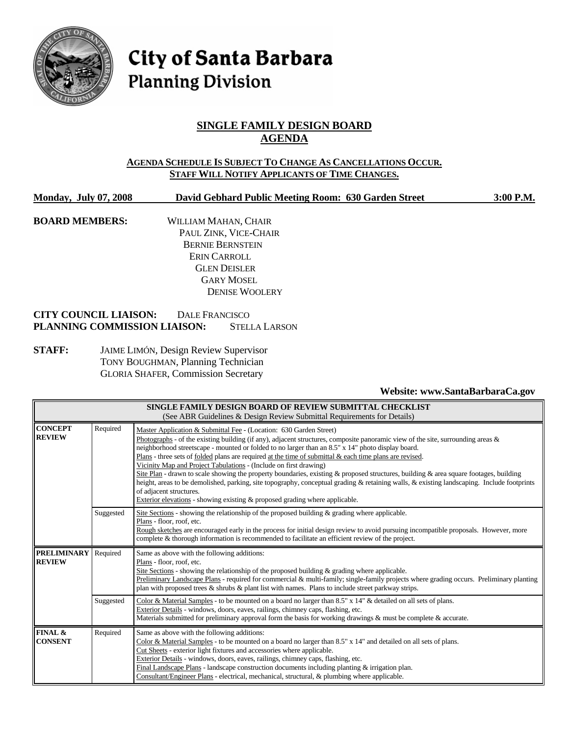

# City of Santa Barbara **Planning Division**

# **SINGLE FAMILY DESIGN BOARD AGENDA**

#### **AGENDA SCHEDULE IS SUBJECT TO CHANGE AS CANCELLATIONS OCCUR. STAFF WILL NOTIFY APPLICANTS OF TIME CHANGES.**

**Monday, July 07, 2008 David Gebhard Public Meeting Room: 630 Garden Street 3:00 P.M.**

**BOARD MEMBERS:** WILLIAM MAHAN, CHAIR PAUL ZINK, VICE-CHAIR BERNIE BERNSTEIN ERIN CARROLL GLEN DEISLER GARY MOSEL DENISE WOOLERY

#### **CITY COUNCIL LIAISON:** DALE FRANCISCO **PLANNING COMMISSION LIAISON:** STELLA LARSON

**STAFF:** JAIME LIMÓN, Design Review Supervisor TONY BOUGHMAN, Planning Technician GLORIA SHAFER, Commission Secretary

#### **Website: www.SantaBarbaraCa.gov**

| SINGLE FAMILY DESIGN BOARD OF REVIEW SUBMITTAL CHECKLIST<br>(See ABR Guidelines & Design Review Submittal Requirements for Details) |           |                                                                                                                                                                                                                                                                                                                                                                                                                                                                                                                                                                                                                                                                                                                                                                                                                                                                                                |  |  |
|-------------------------------------------------------------------------------------------------------------------------------------|-----------|------------------------------------------------------------------------------------------------------------------------------------------------------------------------------------------------------------------------------------------------------------------------------------------------------------------------------------------------------------------------------------------------------------------------------------------------------------------------------------------------------------------------------------------------------------------------------------------------------------------------------------------------------------------------------------------------------------------------------------------------------------------------------------------------------------------------------------------------------------------------------------------------|--|--|
| <b>CONCEPT</b><br>Required<br><b>REVIEW</b>                                                                                         |           | Master Application & Submittal Fee - (Location: 630 Garden Street)<br>Photographs - of the existing building (if any), adjacent structures, composite panoramic view of the site, surrounding areas $\&$<br>neighborhood streetscape - mounted or folded to no larger than an 8.5" x 14" photo display board.<br>Plans - three sets of folded plans are required at the time of submittal & each time plans are revised.<br>Vicinity Map and Project Tabulations - (Include on first drawing)<br>Site Plan - drawn to scale showing the property boundaries, existing & proposed structures, building & area square footages, building<br>height, areas to be demolished, parking, site topography, conceptual grading & retaining walls, & existing landscaping. Include footprints<br>of adjacent structures.<br>Exterior elevations - showing existing & proposed grading where applicable. |  |  |
|                                                                                                                                     | Suggested | Site Sections - showing the relationship of the proposed building $\&$ grading where applicable.<br>Plans - floor, roof, etc.<br>Rough sketches are encouraged early in the process for initial design review to avoid pursuing incompatible proposals. However, more<br>complete & thorough information is recommended to facilitate an efficient review of the project.                                                                                                                                                                                                                                                                                                                                                                                                                                                                                                                      |  |  |
| <b>PRELIMINARY</b><br>Required<br>Same as above with the following additions:<br><b>REVIEW</b><br>Plans - floor, roof, etc.         |           | Site Sections - showing the relationship of the proposed building $\&$ grading where applicable.<br>Preliminary Landscape Plans - required for commercial & multi-family; single-family projects where grading occurs. Preliminary planting<br>plan with proposed trees & shrubs & plant list with names. Plans to include street parkway strips.                                                                                                                                                                                                                                                                                                                                                                                                                                                                                                                                              |  |  |
|                                                                                                                                     | Suggested | Color & Material Samples - to be mounted on a board no larger than 8.5" x 14" & detailed on all sets of plans.<br>Exterior Details - windows, doors, eaves, railings, chimney caps, flashing, etc.<br>Materials submitted for preliminary approval form the basis for working drawings $\&$ must be complete $\&$ accurate.                                                                                                                                                                                                                                                                                                                                                                                                                                                                                                                                                                    |  |  |
| FINAL &<br><b>CONSENT</b>                                                                                                           | Required  | Same as above with the following additions:<br>Color & Material Samples - to be mounted on a board no larger than $8.5"$ x $14"$ and detailed on all sets of plans.<br>Cut Sheets - exterior light fixtures and accessories where applicable.<br>Exterior Details - windows, doors, eaves, railings, chimney caps, flashing, etc.<br>Final Landscape Plans - landscape construction documents including planting $&$ irrigation plan.<br>Consultant/Engineer Plans - electrical, mechanical, structural, & plumbing where applicable.                                                                                                                                                                                                                                                                                                                                                          |  |  |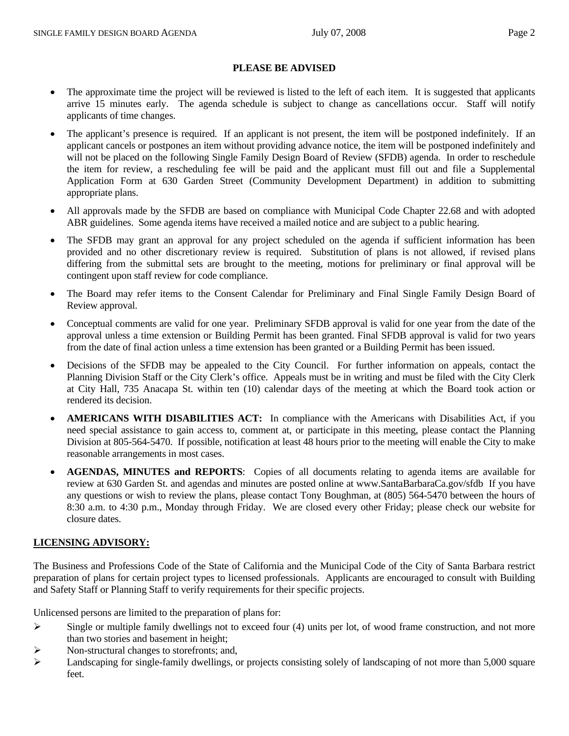#### **PLEASE BE ADVISED**

- The approximate time the project will be reviewed is listed to the left of each item. It is suggested that applicants arrive 15 minutes early. The agenda schedule is subject to change as cancellations occur. Staff will notify applicants of time changes.
- The applicant's presence is required. If an applicant is not present, the item will be postponed indefinitely. If an applicant cancels or postpones an item without providing advance notice, the item will be postponed indefinitely and will not be placed on the following Single Family Design Board of Review (SFDB) agenda. In order to reschedule the item for review, a rescheduling fee will be paid and the applicant must fill out and file a Supplemental Application Form at 630 Garden Street (Community Development Department) in addition to submitting appropriate plans.
- All approvals made by the SFDB are based on compliance with Municipal Code Chapter 22.68 and with adopted ABR guidelines. Some agenda items have received a mailed notice and are subject to a public hearing.
- The SFDB may grant an approval for any project scheduled on the agenda if sufficient information has been provided and no other discretionary review is required. Substitution of plans is not allowed, if revised plans differing from the submittal sets are brought to the meeting, motions for preliminary or final approval will be contingent upon staff review for code compliance.
- The Board may refer items to the Consent Calendar for Preliminary and Final Single Family Design Board of Review approval.
- Conceptual comments are valid for one year. Preliminary SFDB approval is valid for one year from the date of the approval unless a time extension or Building Permit has been granted. Final SFDB approval is valid for two years from the date of final action unless a time extension has been granted or a Building Permit has been issued.
- Decisions of the SFDB may be appealed to the City Council. For further information on appeals, contact the Planning Division Staff or the City Clerk's office. Appeals must be in writing and must be filed with the City Clerk at City Hall, 735 Anacapa St. within ten (10) calendar days of the meeting at which the Board took action or rendered its decision.
- **AMERICANS WITH DISABILITIES ACT:** In compliance with the Americans with Disabilities Act, if you need special assistance to gain access to, comment at, or participate in this meeting, please contact the Planning Division at 805-564-5470. If possible, notification at least 48 hours prior to the meeting will enable the City to make reasonable arrangements in most cases.
- **AGENDAS, MINUTES and REPORTS**: Copies of all documents relating to agenda items are available for review at 630 Garden St. and agendas and minutes are posted online at www.SantaBarbaraCa.gov/sfdb If you have any questions or wish to review the plans, please contact Tony Boughman, at (805) 564-5470 between the hours of 8:30 a.m. to 4:30 p.m., Monday through Friday. We are closed every other Friday; please check our website for closure dates.

## **LICENSING ADVISORY:**

The Business and Professions Code of the State of California and the Municipal Code of the City of Santa Barbara restrict preparation of plans for certain project types to licensed professionals. Applicants are encouraged to consult with Building and Safety Staff or Planning Staff to verify requirements for their specific projects.

Unlicensed persons are limited to the preparation of plans for:

- $\triangleright$  Single or multiple family dwellings not to exceed four (4) units per lot, of wood frame construction, and not more than two stories and basement in height;
- ¾ Non-structural changes to storefronts; and,
- $\blacktriangleright$  Landscaping for single-family dwellings, or projects consisting solely of landscaping of not more than 5,000 square feet.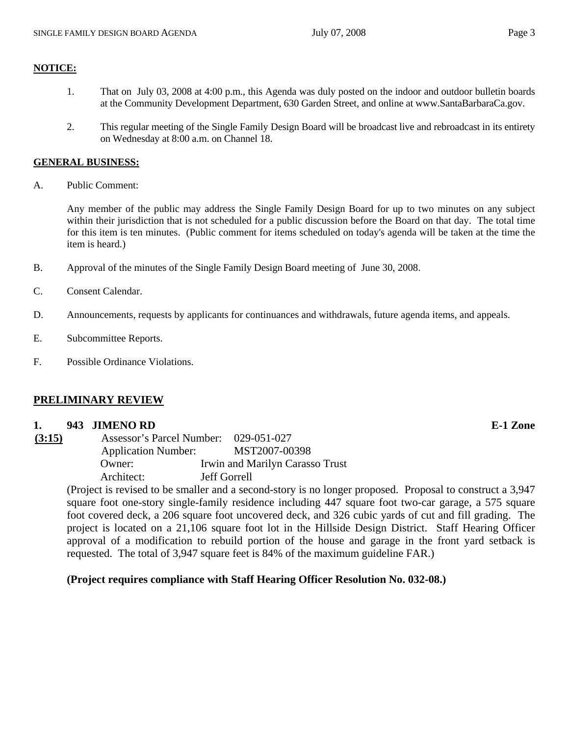#### **NOTICE:**

- 1. That on July 03, 2008 at 4:00 p.m., this Agenda was duly posted on the indoor and outdoor bulletin boards at the Community Development Department, 630 Garden Street, and online at www.SantaBarbaraCa.gov.
- 2. This regular meeting of the Single Family Design Board will be broadcast live and rebroadcast in its entirety on Wednesday at 8:00 a.m. on Channel 18.

#### **GENERAL BUSINESS:**

A. Public Comment:

Any member of the public may address the Single Family Design Board for up to two minutes on any subject within their jurisdiction that is not scheduled for a public discussion before the Board on that day. The total time for this item is ten minutes. (Public comment for items scheduled on today's agenda will be taken at the time the item is heard.)

- B. Approval of the minutes of the Single Family Design Board meeting of June 30, 2008.
- C. Consent Calendar.
- D. Announcements, requests by applicants for continuances and withdrawals, future agenda items, and appeals.
- E. Subcommittee Reports.
- F. Possible Ordinance Violations.

#### **PRELIMINARY REVIEW**

#### **1. 943 JIMENO RD E-1 Zone**

| (3:15) | Assessor's Parcel Number: 029-051-027 |                                 |
|--------|---------------------------------------|---------------------------------|
|        | <b>Application Number:</b>            | MST2007-00398                   |
|        | Owner:                                | Irwin and Marilyn Carasso Trust |
|        | Architect:                            | <b>Jeff Gorrell</b>             |

(Project is revised to be smaller and a second-story is no longer proposed. Proposal to construct a 3,947 square foot one-story single-family residence including 447 square foot two-car garage, a 575 square foot covered deck, a 206 square foot uncovered deck, and 326 cubic yards of cut and fill grading. The project is located on a 21,106 square foot lot in the Hillside Design District. Staff Hearing Officer approval of a modification to rebuild portion of the house and garage in the front yard setback is requested. The total of 3,947 square feet is 84% of the maximum guideline FAR.)

#### **(Project requires compliance with Staff Hearing Officer Resolution No. 032-08.)**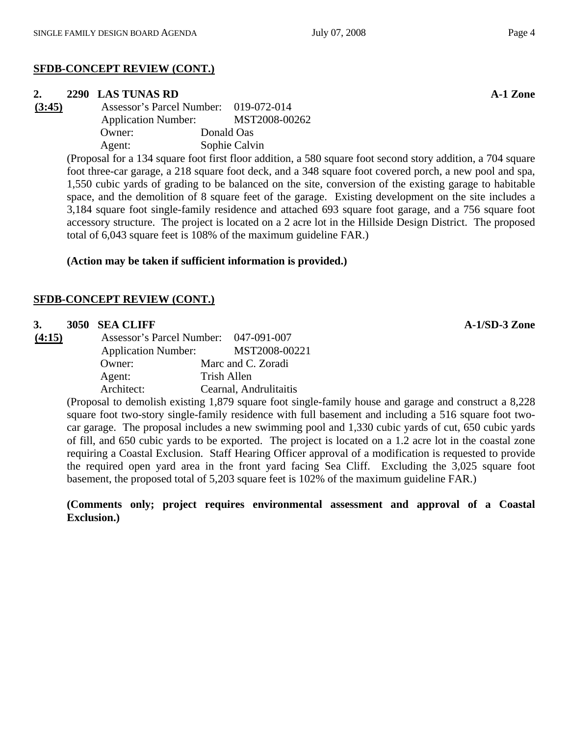#### **SFDB-CONCEPT REVIEW (CONT.)**

#### **2. 2290 LAS TUNAS RD A-1 Zone**

**(3:45)** Assessor's Parcel Number: 019-072-014 Application Number: MST2008-00262 Owner: Donald Oas Agent: Sophie Calvin

> (Proposal for a 134 square foot first floor addition, a 580 square foot second story addition, a 704 square foot three-car garage, a 218 square foot deck, and a 348 square foot covered porch, a new pool and spa, 1,550 cubic yards of grading to be balanced on the site, conversion of the existing garage to habitable space, and the demolition of 8 square feet of the garage. Existing development on the site includes a 3,184 square foot single-family residence and attached 693 square foot garage, and a 756 square foot accessory structure. The project is located on a 2 acre lot in the Hillside Design District. The proposed total of 6,043 square feet is 108% of the maximum guideline FAR.)

#### **(Action may be taken if sufficient information is provided.)**

#### **SFDB-CONCEPT REVIEW (CONT.)**

#### **3. 3050 SEA CLIFF A-1/SD-3 Zone**

**(4:15)** Assessor's Parcel Number: 047-091-007 Application Number: MST2008-00221 Owner: Marc and C. Zoradi Agent: Trish Allen Architect: Cearnal, Andrulitaitis

> (Proposal to demolish existing 1,879 square foot single-family house and garage and construct a 8,228 square foot two-story single-family residence with full basement and including a 516 square foot twocar garage. The proposal includes a new swimming pool and 1,330 cubic yards of cut, 650 cubic yards of fill, and 650 cubic yards to be exported. The project is located on a 1.2 acre lot in the coastal zone requiring a Coastal Exclusion. Staff Hearing Officer approval of a modification is requested to provide the required open yard area in the front yard facing Sea Cliff. Excluding the 3,025 square foot basement, the proposed total of 5,203 square feet is 102% of the maximum guideline FAR.)

> **(Comments only; project requires environmental assessment and approval of a Coastal Exclusion.)**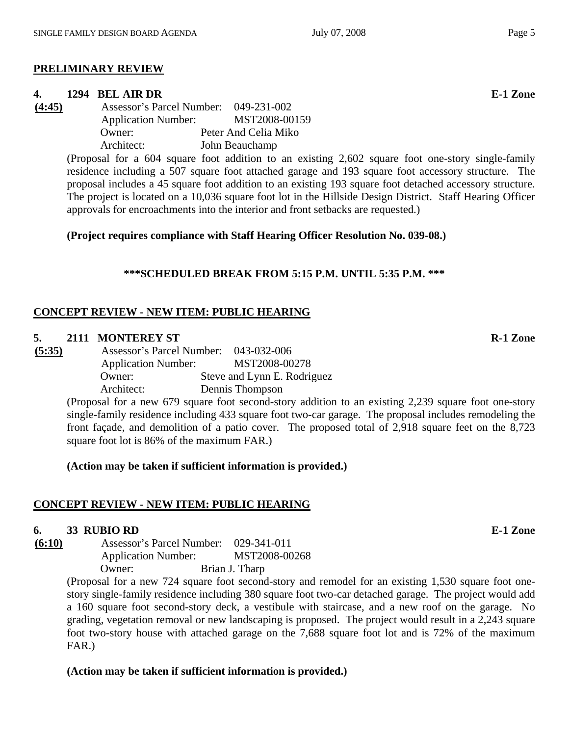## **PRELIMINARY REVIEW**

# **4. 1294 BEL AIR DR E-1 Zone**

**(4:45)** Assessor's Parcel Number: 049-231-002 Application Number: MST2008-00159 Owner: Peter And Celia Miko Architect: John Beauchamp

> (Proposal for a 604 square foot addition to an existing 2,602 square foot one-story single-family residence including a 507 square foot attached garage and 193 square foot accessory structure. The proposal includes a 45 square foot addition to an existing 193 square foot detached accessory structure. The project is located on a 10,036 square foot lot in the Hillside Design District. Staff Hearing Officer approvals for encroachments into the interior and front setbacks are requested.)

**(Project requires compliance with Staff Hearing Officer Resolution No. 039-08.)** 

# **\*\*\*SCHEDULED BREAK FROM 5:15 P.M. UNTIL 5:35 P.M. \*\*\***

# **CONCEPT REVIEW - NEW ITEM: PUBLIC HEARING**

# **5.** 2111 MONTEREY ST R-1 Zone

**(5:35)** Assessor's Parcel Number: 043-032-006 Application Number: MST2008-00278 Owner: Steve and Lynn E. Rodriguez Architect: Dennis Thompson

(Proposal for a new 679 square foot second-story addition to an existing 2,239 square foot one-story single-family residence including 433 square foot two-car garage. The proposal includes remodeling the front façade, and demolition of a patio cover. The proposed total of 2,918 square feet on the 8,723 square foot lot is 86% of the maximum FAR.)

**(Action may be taken if sufficient information is provided.)** 

# **CONCEPT REVIEW - NEW ITEM: PUBLIC HEARING**

# **6. 33 RUBIO RD E-1 Zone**

**(6:10)** Assessor's Parcel Number: 029-341-011 Application Number: MST2008-00268 Owner: Brian J. Tharp

(Proposal for a new 724 square foot second-story and remodel for an existing 1,530 square foot onestory single-family residence including 380 square foot two-car detached garage. The project would add a 160 square foot second-story deck, a vestibule with staircase, and a new roof on the garage. No grading, vegetation removal or new landscaping is proposed. The project would result in a 2,243 square foot two-story house with attached garage on the 7,688 square foot lot and is 72% of the maximum FAR.)

# **(Action may be taken if sufficient information is provided.)**